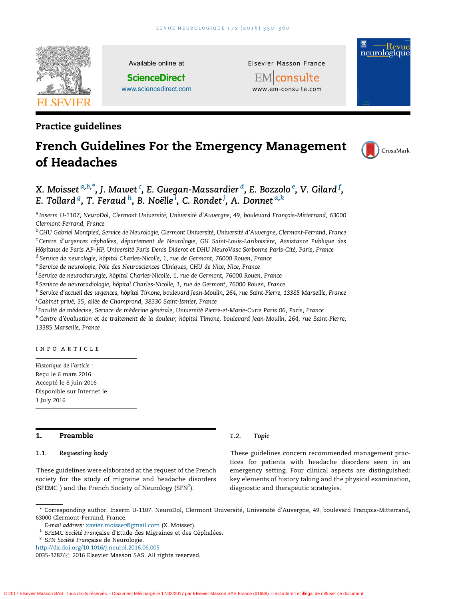

Available online at

**ScienceDirect** [www.sciencedirect.com](http://www.sciencedirect.com/science/journal/00353787) Elsevier Masson France

EMconsulte



# French Guidelines For the Emergency Management of Headaches



neurologique

X. Moisset  ${}^{a,b,*}$ , J. Mawet  ${}^{\mathsf{c}}$ , E. Guegan-Massardier  ${}^d$ , E. Bozzolo  ${}^e$ , V. Gilard  ${}^f$ , E. Tollard <sup>g</sup>, T. Feraud <sup>h</sup>, B. Noëlle <sup>i</sup>, C. Rondet <sup>j</sup>, A. Donnet <sup>a,k</sup>

a Inserm U-1107, NeuroDol, Clermont Université, Université d'Auvergne, 49, boulevard François-Mitterrand, 63000 Clermont-Ferrand, France

<sup>b</sup> CHU Gabriel Montpied, Service de Neurologie, Clermont Université, Université d'Auvergne, Clermont-Ferrand, France <sup>c</sup>Centre d'urgences céphalées, département de Neurologie, GH Saint-Louis-Lariboisière, Assistance Publique des Hôpitaux de Paris AP-HP, Université Paris Denis Diderot et DHU NeuroVasc Sorbonne Paris-Cité, Paris, France

<sup>d</sup> Service de neurologie, hôpital Charles-Nicolle, 1, rue de Germont, 76000 Rouen, France

e Service de neurologie, Pôle des Neurosciences Cliniques, CHU de Nice, Nice, France

<sup>f</sup> Service de neurochirurgie, hôpital Charles-Nicolle, 1, rue de Germont, 76000 Rouen, France

<sup>g</sup> Service de neuroradiologie, hôpital Charles-Nicolle, 1, rue de Germont, 76000 Rouen, France

h Service d'accueil des urgences, hôpital Timone, boulevard Jean-Moulin, 264, rue Saint-Pierre, 13385 Marseille, France <sup>i</sup> Cabinet privé, 35, allée de Champrond, 38330 Saint-Ismier, France

<sup>j</sup> Faculté de médecine, Service de médecine générale, Université Pierre-et-Marie-Curie Paris 06, Paris, France

k Centre d'évaluation et de traitement de la douleur, hôpital Timone, boulevard Jean-Moulin, 264, rue Saint-Pierre, 13385 Marseille, France

#### INFO ARTICLE

Historique de l'article : Reçu le 6 mars 2016 Accepté le 8 juin 2016 Disponible sur Internet le 1 July 2016

# 1. Preamble

#### 1.1. Requesting body

These guidelines were elaborated at the request of the French society for the study of migraine and headache disorders (SFEMC<sup>1</sup>) and the French Society of Neurology (SFN<sup>2</sup>).

#### 1.2. Topic

These guidelines concern recommended management practices for patients with headache disorders seen in an emergency setting. Four clinical aspects are distinguished: key elements of history taking and the physical examination, diagnostic and therapeutic strategies.

<sup>2</sup> SFN Société Française de Neurologie.

<sup>\*</sup> Corresponding author. Inserm U-1107, NeuroDol, Clermont Université, Université d'Auvergne, 49, boulevard François-Mitterrand, 63000 Clermont-Ferrand, France.

E-mail address: [xavier.moisset@gmail.com](mailto:xavier.moisset@gmail.com) (X. Moisset).

 $^1$  SFEMC Société Française d'Etude des Migraines et des Céphalées.

<http://dx.doi.org/10.1016/j.neurol.2016.06.005>

<sup>0035-3787/ @ 2016</sup> Elsevier Masson SAS. All rights reserved.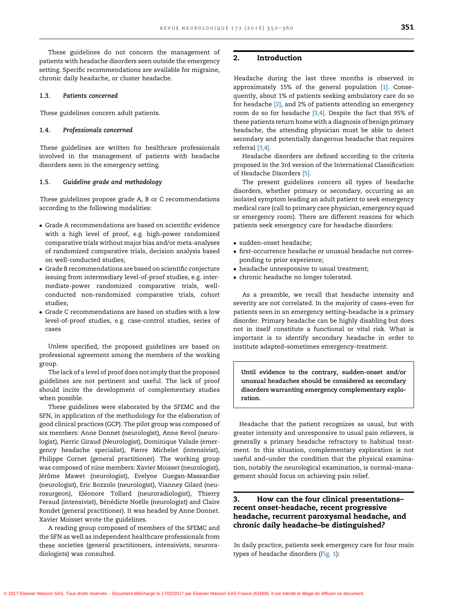These guidelines do not concern the management of patients with headache disorders seen outside the emergency setting. Specific recommendations are available for migraine, chronic daily headache, or cluster headache.

#### 1.3. Patients concerned

These guidelines concern adult patients.

#### 1.4. Professionals concerned

These guidelines are written for healthcare professionals involved in the management of patients with headache disorders seen in the emergency setting.

## 1.5. Guideline grade and methodology

These guidelines propose grade A, B or C recommendations according to the following modalities:

- Grade A recommendations are based on scientific evidence with a high level of proof, e.g. high-power randomized comparative trials without major bias and/or meta-analyses of randomized comparative trials, decision analysis based on well-conducted studies;
- Grade B recommendations are based on scientific conjecture issuing from intermediary level-of-proof studies, e.g. intermediate-power randomized comparative trials, wellconducted non-randomized comparative trials, cohort studies;
- Grade C recommendations are based on studies with a low level-of-proof studies, e.g. case-control studies, series of cases

Unless specified, the proposed guidelines are based on professional agreement among the members of the working group.

The lack of a level of proof does not imply that the proposed guidelines are not pertinent and useful. The lack of proof should incite the development of complementary studies when possible.

These guidelines were elaborated by the SFEMC and the SFN, in application of the methodology for the elaboration of good clinical practices (GCP). The pilot group was composed of six members: Anne Donnet (neurologist), Anne Revol (neurologist), Pierric Giraud (Neurologist), Dominique Valade (emergency headache specialist), Pierre Michelet (intensivist), Philippe Cornet (general practitioner). The working group was composed of nine members: Xavier Moisset (neurologist), Jérôme Mawet (neurologist), Evelyne Guegan-Massardier (neurologist), Eric Bozzolo (neurologist), Vianney Gilard (neurosurgeon), Eléonore Tollard (neuroradiologist), Thierry Feraud (intensivist), Bénédicte Noëlle (neurologist) and Claire Rondet (general practitioner). It was headed by Anne Donnet. Xavier Moisset wrote the guidelines.

A reading group composed of members of the SFEMC and the SFN as well as independent healthcare professionals from these societies (general practitioners, intensivists, neuroradiologists) was consulted.

## 2. Introduction

Headache during the last three months is observed in approximately 15% of the general population [\[1\]](#page-8-0). Consequently, about 1% of patients seeking ambulatory care do so for headache [\[2\]](#page-8-0), and 2% of patients attending an emergency room do so for headache [\[3,4\].](#page-8-0) Despite the fact that 95% of these patients return home with a diagnosis of benign primary headache, the attending physician must be able to detect secondary and potentially dangerous headache that requires referral [\[3,4\].](#page-8-0)

Headache disorders are defined according to the criteria proposed in the 3rd version of the International Classification of Headache Disorders [\[5\].](#page-8-0)

The present guidelines concern all types of headache disorders, whether primary or secondary, occurring as an isolated symptom leading an adult patient to seek emergency medical care (call to primary care physician, emergency squad or emergency room). There are different reasons for which patients seek emergency care for headache disorders:

- sudden-onset headache;
- first-occurrence headache or unusual headache not corresponding to prior experience;
- headache unresponsive to usual treatment;
- chronic headache no longer tolerated.

As a preamble, we recall that headache intensity and severity are not correlated. In the majority of cases–even for patients seen in an emergency setting–headache is a primary disorder. Primary headache can be highly disabling but does not in itself constitute a functional or vital risk. What is important is to identify secondary headache in order to institute adapted–sometimes emergency–treatment.

Until evidence to the contrary, sudden-onset and/or unusual headaches should be considered as secondary disorders warranting emergency complementary exploration.

Headache that the patient recognizes as usual, but with greater intensity and unresponsive to usual pain relievers, is generally a primary headache refractory to habitual treatment. In this situation, complementary exploration is not useful and–under the condition that the physical examination, notably the neurological examination, is normal–management should focus on achieving pain relief.

# 3. How can the four clinical presentations– recent onset-headache, recent progressive headache, recurrent paroxysmal headache, and chronic daily headache–be distinguished?

In daily practice, patients seek emergency care for four main types of headache disorders ([Fig.](#page-2-0) 1):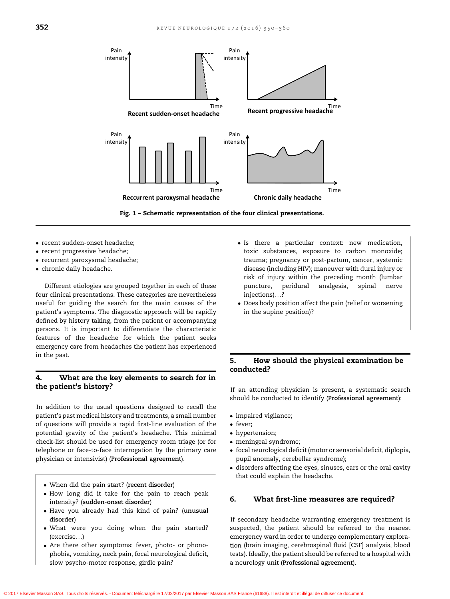<span id="page-2-0"></span>

Fig. 1 – Schematic representation of the four clinical presentations.

- recent sudden-onset headache;
- recent progressive headache;
- recurrent paroxysmal headache;
- chronic daily headache.

Different etiologies are grouped together in each of these four clinical presentations. These categories are nevertheless useful for guiding the search for the main causes of the patient's symptoms. The diagnostic approach will be rapidly defined by history taking, from the patient or accompanying persons. It is important to differentiate the characteristic features of the headache for which the patient seeks emergency care from headaches the patient has experienced in the past.

# 4. What are the key elements to search for in the patient's history?

In addition to the usual questions designed to recall the patient's past medical history and treatments, a small number of questions will provide a rapid first-line evaluation of the potential gravity of the patient's headache. This minimal check-list should be used for emergency room triage (or for telephone or face-to-face interrogation by the primary care physician or intensivist) (Professional agreement).

- When did the pain start? (recent disorder)
- How long did it take for the pain to reach peak intensity? (sudden-onset disorder)
- Have you already had this kind of pain? (unusual disorder)
- What were you doing when the pain started? (exercise. . .)
- Are there other symptoms: fever, photo- or phonophobia, vomiting, neck pain, focal neurological deficit, slow psycho-motor response, girdle pain?
- Is there a particular context: new medication, toxic substances, exposure to carbon monoxide; trauma; pregnancy or post-partum, cancer, systemic disease (including HIV); maneuver with dural injury or risk of injury within the preceding month (lumbar puncture, peridural analgesia, spinal nerve injections). . .?
- Does body position affect the pain (relief or worsening in the supine position)?

# 5. How should the physical examination be conducted?

If an attending physician is present, a systematic search should be conducted to identify (Professional agreement):

- impaired vigilance;
- fever;
- hypertension;
- meningeal syndrome;
- focal neurological deficit(motor or sensorial deficit, diplopia, pupil anomaly, cerebellar syndrome);
- disorders affecting the eyes, sinuses, ears or the oral cavity that could explain the headache.

## 6. What first-line measures are required?

If secondary headache warranting emergency treatment is suspected, the patient should be referred to the nearest emergency ward in order to undergo complementary exploration (brain imaging, cerebrospinal fluid [CSF] analysis, blood tests). Ideally, the patient should be referred to a hospital with a neurology unit (Professional agreement).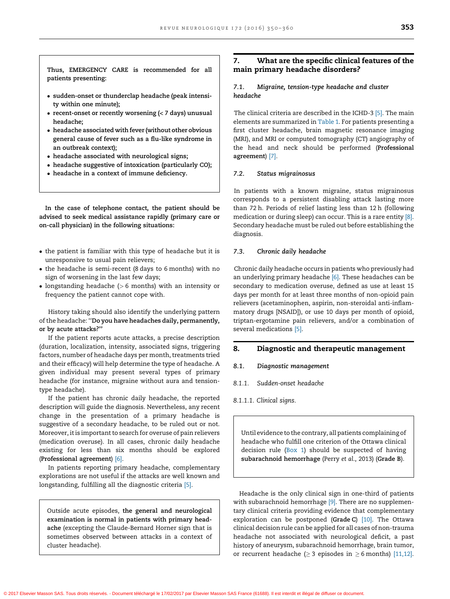Thus, EMERGENCY CARE is recommended for all patients presenting:

- sudden-onset or thunderclap headache (peak intensity within one minute);
- recent-onset or recently worsening (< 7 days) unusual headache;
- headache associated with fever (without other obvious general cause of fever such as a flu-like syndrome in an outbreak context);
- headache associated with neurological signs;
- headache suggestive of intoxication (particularly CO);
- headache in a context of immune deficiency.

In the case of telephone contact, the patient should be advised to seek medical assistance rapidly (primary care or on-call physician) in the following situations:

- $\bullet$  the patient is familiar with this type of headache but it is unresponsive to usual pain relievers;
- the headache is semi-recent (8 days to 6 months) with no sign of worsening in the last few days;
- longstanding headache (> 6 months) with an intensity or frequency the patient cannot cope with.

History taking should also identify the underlying pattern of the headache: ''Do you have headaches daily, permanently, or by acute attacks?''

If the patient reports acute attacks, a precise description (duration, localization, intensity, associated signs, triggering factors, number of headache days per month, treatments tried and their efficacy) will help determine the type of headache. A given individual may present several types of primary headache (for instance, migraine without aura and tensiontype headache).

If the patient has chronic daily headache, the reported description will guide the diagnosis. Nevertheless, any recent change in the presentation of a primary headache is suggestive of a secondary headache, to be ruled out or not. Moreover, it is important to search for overuse of pain relievers (medication overuse). In all cases, chronic daily headache existing for less than six months should be explored (Professional agreement) [\[6\].](#page-8-0)

In patients reporting primary headache, complementary explorations are not useful if the attacks are well known and longstanding, fulfilling all the diagnostic criteria [\[5\]](#page-8-0).

Outside acute episodes, the general and neurological examination is normal in patients with primary headache (excepting the Claude-Bernard Horner sign that is sometimes observed between attacks in a context of cluster headache).

# 7. What are the specific clinical features of the main primary headache disorders?

### 7.1. Migraine, tension-type headache and cluster headache

The clinical criteria are described in the ICHD-3 [\[5\]](#page-8-0). The main elements are summarized in [Table](#page-4-0) 1. For patients presenting a first cluster headache, brain magnetic resonance imaging (MRI), and MRI or computed tomography (CT) angiography of the head and neck should be performed (Professional agreement) [\[7\]](#page-8-0).

## 7.2. Status migrainosus

In patients with a known migraine, status migrainosus corresponds to a persistent disabling attack lasting more than 72 h. Periods of relief lasting less than 12 h (following medication or during sleep) can occur. This is a rare entity [\[8\].](#page-8-0) Secondary headache must be ruled out before establishing the diagnosis.

#### 7.3. Chronic daily headache

Chronic daily headache occurs in patients who previously had an underlying primary headache [\[6\].](#page-8-0) These headaches can be secondary to medication overuse, defined as use at least 15 days per month for at least three months of non-opioid pain relievers (acetaminophen, aspirin, non-steroidal anti-inflammatory drugs [NSAID]), or use 10 days per month of opioid, triptan-ergotamine pain relievers, and/or a combination of several medications [\[5\]](#page-8-0).

#### 8. Diagnostic and therapeutic management

## 8.1. Diagnostic management

8.1.1. Sudden-onset headache

8.1.1.1. Clinical signs.

Until evidence to the contrary, all patients complaining of headache who fulfill one criterion of the Ottawa clinical decision rule [\(Box](#page-4-0) 1) should be suspected of having subarachnoid hemorrhage (Perry et al., 2013) (Grade B).

Headache is the only clinical sign in one-third of patients with subarachnoid hemorrhage [\[9\]](#page-8-0). There are no supplementary clinical criteria providing evidence that complementary exploration can be postponed (Grade C) [\[10\]](#page-8-0). The Ottawa clinical decision rule can be applied for all cases of non-trauma headache not associated with neurological deficit, a past history of aneurysm, subarachnoid hemorrhage, brain tumor, or recurrent headache ( $\geq$  3 episodes in  $\geq$  6 months) [\[11,12\].](#page-9-0)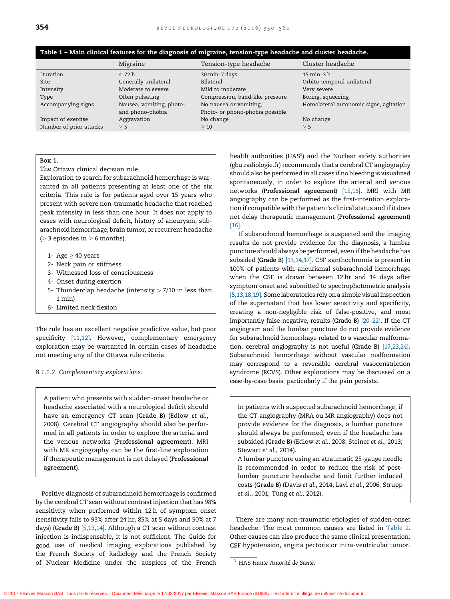<span id="page-4-0"></span>

| Table 1 – Main clinical features for the diagnosis of migraine, tension-type headache and cluster headache. |  |  |
|-------------------------------------------------------------------------------------------------------------|--|--|
|                                                                                                             |  |  |
|                                                                                                             |  |  |
|                                                                                                             |  |  |
|                                                                                                             |  |  |

|                         | Migraine                 | Tension-type headache           | Cluster headache                       |
|-------------------------|--------------------------|---------------------------------|----------------------------------------|
| Duration                | $4 - 72 h$               | 30 min-7 days                   | 15 min-3 h                             |
| Site                    | Generally unilateral     | Bilateral                       | Orbito-temporal unilateral             |
| Intensity               | Moderate to severe       | Mild to moderate                | Very severe                            |
| Type                    | Often pulsating          | Compression, band-like pressure | Boring, squeezing                      |
| Accompanying signs      | Nausea, vomiting, photo- | No nausea or vomiting,          | Homolateral autonomic signs, agitation |
|                         | and phono-phobia         | Photo- or phono-phobia possible |                                        |
| Impact of exercise      | Aggravation              | No change                       | No change                              |
| Number of prior attacks | $\geq$ 5                 | >10                             | $\geq$ 5                               |

#### Box 1.

The Ottawa clinical decision rule

Exploration to search for subarachnoid hemorrhage is warranted in all patients presenting at least one of the six criteria. This rule is for patients aged over 15 years who present with severe non-traumatic headache that reached peak intensity in less than one hour. It does not apply to cases with neurological deficit, history of aneurysm, subarachnoid hemorrhage, brain tumor, or recurrent headache  $\geq$  3 episodes in  $\geq$  6 months).

- 1- Age  $\geq$  40 years
- 2- Neck pain or stiffness
- 3- Witnessed loss of consciousness
- 4- Onset during exertion
- 5- Thunderclap headache (intensity  $> 7/10$  in less than 1 min)
- 6- Limited neck flexion

The rule has an excellent negative predictive value, but poor specificity [\[11,12\].](#page-9-0) However, complementary emergency exploration may be warranted in certain cases of headache not meeting any of the Ottawa rule criteria.

8.1.1.2. Complementary explorations.

A patient who presents with sudden-onset headache or headache associated with a neurological deficit should have an emergency CT scan (Grade B) (Edlow et al., 2008). Cerebral CT angiography should also be performed in all patients in order to explore the arterial and the venous networks (Professional agreement). MRI with MR angiography can be the first-line exploration if therapeutic management is not delayed (Professional agreement).

Positive diagnosis of subarachnoid hemorrhage is confirmed by the cerebral CT scan without contrast injection that has 98% sensitivity when performed within 12 h of symptom onset (sensitivity falls to 93% after 24 hr, 85% at 5 days and 50% at 7 days) (Grade B) [\[5,13,14\]](#page-8-0). Although a CT scan without contrast injection is indispensable, it is not sufficient. The Guide for good use of medical imaging explorations published by the French Society of Radiology and the French Society of Nuclear Medicine under the auspices of the French

health authorities ( $HAS<sup>3</sup>$ ) and the Nuclear safety authorities (gbu.radiologie.fr) recommends that a cerebral CT angiography should also be performed in all cases if no bleeding is visualized spontaneously, in order to explore the arterial and venous networks (Professional agreement) [\[15,16\]](#page-9-0). MRI with MR angiography can be performed as the first-intention exploration if compatible with the patient's clinical status and if it does not delay therapeutic management (Professional agreement) [\[16\].](#page-9-0)

If subarachnoid hemorrhage is suspected and the imaging results do not provide evidence for the diagnosis, a lumbar puncture should always be performed, even if the headache has subsided (Grade B) [\[13,14,17\].](#page-9-0) CSF xanthochromia is present in 100% of patients with aneurismal subarachnoid hemorrhage when the CSF is drawn between 12 hr and 14 days after symptom onset and submitted to spectrophotometric analysis [\[5,13,18,19\].](#page-8-0) Some laboratories rely on a simple visual inspection of the supernatant that has lower sensitivity and specificity, creating a non-negligible risk of false-positive, and most importantly false-negative, results (Grade B) [\[20–22\].](#page-9-0) If the CT angiogram and the lumbar puncture do not provide evidence for subarachnoid hemorrhage related to a vascular malformation, cerebral angiography is not useful (Grade B) [\[17,23,24\]](#page-9-0). Subarachnoid hemorrhage without vascular malformation may correspond to a reversible cerebral vasoconstriction syndrome (RCVS). Other explorations may be discussed on a case-by-case basis, particularly if the pain persists.

In patients with suspected subarachnoid hemorrhage, if the CT angiography (MRA ou MR angiography) does not provide evidence for the diagnosis, a lumbar puncture should always be performed, even if the headache has subsided (Grade B) (Edlow et al., 2008; Steiner et al., 2013; Stewart et al., 2014).

A lumbar puncture using an atraumatic 25-gauge needle is recommended in order to reduce the risk of postlumbar puncture headache and limit further induced costs (Grade B) (Davis et al., 2014; Lavi et al., 2006; Strupp et al., 2001; Tung et al., 2012).

There are many non-traumatic etiologies of sudden-onset headache. The most common causes are listed in [Table](#page-5-0) 2. Other causes can also produce the same clinical presentation: CSF hypotension, angina pectoris or intra-ventricular tumor.

<sup>&</sup>lt;sup>3</sup> HAS Haute Autorité de Santé.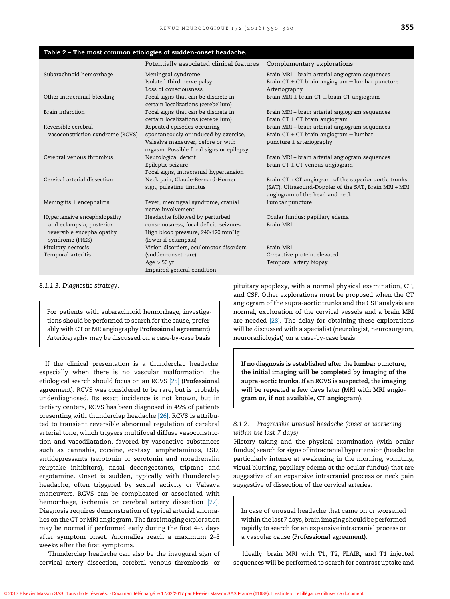## <span id="page-5-0"></span>Table 2 – The most common etiologies of sudden-onset headache.

|                                  | Potentially associated clinical features | Complementary explorations                              |
|----------------------------------|------------------------------------------|---------------------------------------------------------|
| Subarachnoid hemorrhage          | Meningeal syndrome                       | Brain MRI + brain arterial angiogram sequences          |
|                                  | Isolated third nerve palsy               | Brain CT $\pm$ CT brain angiogram $\pm$ lumbar puncture |
|                                  | Loss of consciousness                    | Arteriography                                           |
| Other intracranial bleeding      | Focal signs that can be discrete in      | Brain MRI $\pm$ brain CT $\pm$ brain CT angiogram       |
|                                  | certain localizations (cerebellum)       |                                                         |
| Brain infarction                 | Focal signs that can be discrete in      | Brain MRI + brain arterial angiogram sequences          |
|                                  | certain localizations (cerebellum)       | Brain $CT \pm CT$ brain angiogram                       |
| Reversible cerebral              | Repeated episodes occurring              | Brain MRI + brain arterial angiogram sequences          |
| vasoconstriction syndrome (RCVS) | spontaneously or induced by exercise,    | Brain CT $\pm$ CT brain angiogram $\pm$ lumbar          |
|                                  | Valsalva maneuver, before or with        | puncture $\pm$ arteriography                            |
|                                  | orgasm. Possible focal signs or epilepsy |                                                         |
| Cerebral venous thrombus         | Neurological deficit                     | Brain MRI + brain arterial angiogram sequences          |
|                                  | Epileptic seizure                        | Brain $CT \pm CT$ venous angiogram                      |
|                                  | Focal signs, intracranial hypertension   |                                                         |
| Cervical arterial dissection     | Neck pain, Claude-Bernard-Horner         | Brain CT + CT angiogram of the superior aortic trunks   |
|                                  | sign, pulsating tinnitus                 | (SAT), Ultrasound-Doppler of the SAT, Brain MRI + MRI   |
|                                  |                                          | angiogram of the head and neck                          |
| Meningitis $\pm$ encephalitis    | Fever, meningeal syndrome, cranial       | Lumbar puncture                                         |
|                                  | nerve involvement                        |                                                         |
| Hypertensive encephalopathy      | Headache followed by perturbed           | Ocular fundus: papillary edema                          |
| and eclampsia, posterior         | consciousness, focal deficit, seizures   | Brain MRI                                               |
| reversible encephalopathy        | High blood pressure, 240/120 mmHg        |                                                         |
| syndrome (PRES)                  | (lower if eclampsia)                     |                                                         |
| Pituitary necrosis               | Vision disorders, oculomotor disorders   | Brain MRI                                               |
| Temporal arteritis               | (sudden-onset rare)                      | C-reactive protein: elevated                            |
|                                  | Age > 50 yr                              | Temporal artery biopsy                                  |
|                                  | Impaired general condition               |                                                         |

8.1.1.3. Diagnostic strategy.

For patients with subarachnoid hemorrhage, investigations should be performed to search for the cause, preferably with CT or MR angiography Professional agreement). Arteriography may be discussed on a case-by-case basis.

If the clinical presentation is a thunderclap headache, especially when there is no vascular malformation, the etiological search should focus on an RCVS [\[25\]](#page-9-0) (Professional agreement). RCVS was considered to be rare, but is probably underdiagnosed. Its exact incidence is not known, but in tertiary centers, RCVS has been diagnosed in 45% of patients presenting with thunderclap headache [\[26\]](#page-9-0). RCVS is attributed to transient reversible abnormal regulation of cerebral arterial tone, which triggers multifocal diffuse vasoconstriction and vasodilatation, favored by vasoactive substances such as cannabis, cocaine, ecstasy, amphetamines, LSD, antidepressants (serotonin or serotonin and noradrenalin reuptake inhibitors), nasal decongestants, triptans and ergotamine. Onset is sudden, typically with thunderclap headache, often triggered by sexual activity or Valsava maneuvers. RCVS can be complicated or associated with hemorrhage, ischemia or cerebral artery dissection [\[27\].](#page-9-0) Diagnosis requires demonstration of typical arterial anomalies on the CT or MRI angiogram. The firstimaging exploration may be normal if performed early during the first 4–5 days after symptom onset. Anomalies reach a maximum 2–3 weeks after the first symptoms.

Thunderclap headache can also be the inaugural sign of cervical artery dissection, cerebral venous thrombosis, or

pituitary apoplexy, with a normal physical examination, CT, and CSF. Other explorations must be proposed when the CT angiogram of the supra-aortic trunks and the CSF analysis are normal; exploration of the cervical vessels and a brain MRI are needed [\[28\]](#page-9-0). The delay for obtaining these explorations will be discussed with a specialist (neurologist, neurosurgeon, neuroradiologist) on a case-by-case basis.

If no diagnosis is established after the lumbar puncture, the initial imaging will be completed by imaging of the supra-aortic trunks. If an RCVS is suspected, the imaging will be repeated a few days later (MRI with MRI angiogram or, if not available, CT angiogram).

## 8.1.2. Progressive unusual headache (onset or worsening within the last 7 days)

History taking and the physical examination (with ocular fundus) search for signs of intracranial hypertension (headache particularly intense at awakening in the morning, vomiting, visual blurring, papillary edema at the ocular fundus) that are suggestive of an expansive intracranial process or neck pain suggestive of dissection of the cervical arteries.

In case of unusual headache that came on or worsened within the last 7 days, brain imaging should be performed rapidly to search for an expansive intracranial process or a vascular cause (Professional agreement).

Ideally, brain MRI with T1, T2, FLAIR, and T1 injected sequences will be performed to search for contrast uptake and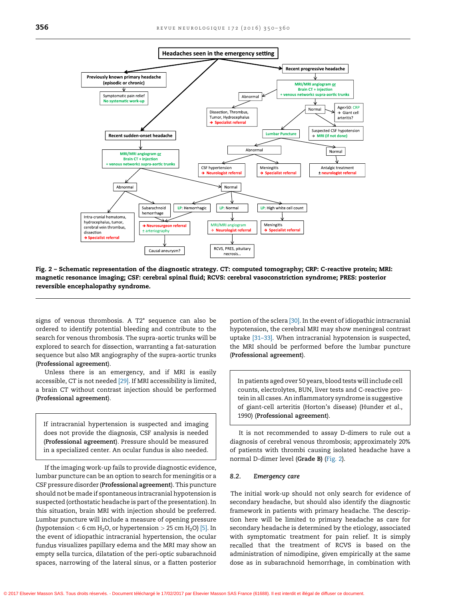

Fig. 2 – Schematic representation of the diagnostic strategy. CT: computed tomography; CRP: C-reactive protein; MRI: magnetic resonance imaging; CSF: cerebral spinal fluid; RCVS: cerebral vasoconstriction syndrome; PRES: posterior reversible encephalopathy syndrome.

signs of venous thrombosis. A T2\* sequence can also be ordered to identify potential bleeding and contribute to the search for venous thrombosis. The supra-aortic trunks will be explored to search for dissection, warranting a fat-saturation sequence but also MR angiography of the supra-aortic trunks (Professional agreement).

Unless there is an emergency, and if MRI is easily accessible, CT is not needed [\[29\]](#page-9-0). If MRI accessibility is limited, a brain CT without contrast injection should be performed (Professional agreement).

If intracranial hypertension is suspected and imaging does not provide the diagnosis, CSF analysis is needed (Professional agreement). Pressure should be measured in a specialized center. An ocular fundus is also needed.

If the imaging work-up fails to provide diagnostic evidence, lumbar puncture can be an option to search for meningitis or a CSF pressure disorder (Professional agreement). This puncture should not be made if spontaneous intracranial hypotension is suspected (orthostatic headache is part of the presentation). In this situation, brain MRI with injection should be preferred. Lumbar puncture will include a measure of opening pressure (hypotension  $<$  6 cm H<sub>2</sub>O, or hypertension  $>$  25 cm H<sub>2</sub>O) [\[5\]](#page-8-0). In the event of idiopathic intracranial hypertension, the ocular fundus visualizes papillary edema and the MRI may show an empty sella turcica, dilatation of the peri-optic subarachnoid spaces, narrowing of the lateral sinus, or a flatten posterior portion of the sclera [\[30\].](#page-9-0) In the event of idiopathic intracranial hypotension, the cerebral MRI may show meningeal contrast uptake [\[31–33\].](#page-9-0) When intracranial hypotension is suspected, the MRI should be performed before the lumbar puncture (Professional agreement).

In patients aged over 50 years, blood tests will include cell counts, electrolytes, BUN, liver tests and C-reactive protein in all cases. An inflammatory syndrome is suggestive of giant-cell arteritis (Horton's disease) (Hunder et al., 1990) (Professional agreement).

It is not recommended to assay D-dimers to rule out a diagnosis of cerebral venous thrombosis; approximately 20% of patients with thrombi causing isolated headache have a normal D-dimer level (Grade B) (Fig. 2).

#### 8.2. Emergency care

The initial work-up should not only search for evidence of secondary headache, but should also identify the diagnostic framework in patients with primary headache. The description here will be limited to primary headache as care for secondary headache is determined by the etiology, associated with symptomatic treatment for pain relief. It is simply recalled that the treatment of RCVS is based on the administration of nimodipine, given empirically at the same dose as in subarachnoid hemorrhage, in combination with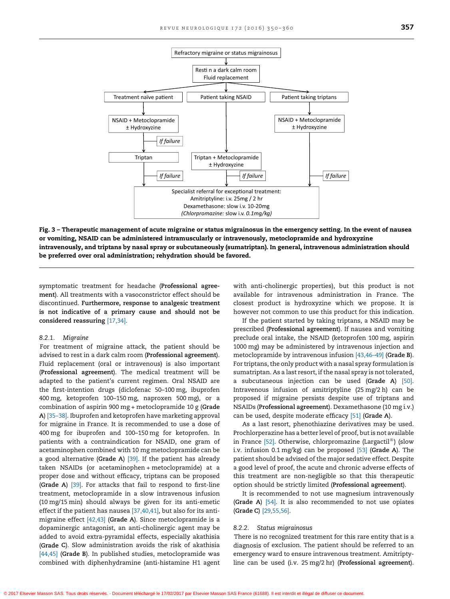<span id="page-7-0"></span>

Fig. 3 – Therapeutic management of acute migraine or status migrainosus in the emergency setting. In the event of nausea or vomiting, NSAID can be administered intramuscularly or intravenously, metoclopramide and hydroxyzine intravenously, and triptans by nasal spray or subcutaneously (sumatriptan). In general, intravenous administration should be preferred over oral administration; rehydration should be favored.

symptomatic treatment for headache (Professional agreement). All treatments with a vasoconstrictor effect should be discontinued. Furthermore, response to analgesic treatment is not indicative of a primary cause and should not be considered reassuring [\[17,34\]](#page-9-0).

# 8.2.1. Migraine

For treatment of migraine attack, the patient should be advised to rest in a dark calm room (Professional agreement). Fluid replacement (oral or intravenous) is also important (Professional agreement). The medical treatment will be adapted to the patient's current regimen. Oral NSAID are the first-intention drugs (diclofenac 50–100 mg, ibuprofen 400 mg, ketoprofen 100–150 mg, naproxen 500 mg), or a combination of aspirin 900 mg + metoclopramide 10 g (Grade A) [\[35–38\].](#page-9-0) Ibuprofen and ketoprofen have marketing approval for migraine in France. It is recommended to use a dose of 400 mg for ibuprofen and 100–150 mg for ketoprofen. In patients with a contraindication for NSAID, one gram of acetaminophen combined with 10 mg metoclopramide can be a good alternative (Grade A)  $[39]$ . If the patient has already taken NSAIDs (or acetaminophen + metoclopramide) at a proper dose and without efficacy, triptans can be proposed (Grade A) [\[39\].](#page-9-0) For attacks that fail to respond to first-line treatment, metoclopramide in a slow intravenous infusion (10 mg/15 min) should always be given for its anti-emetic effect if the patient has nausea [\[37,40,41\]](#page-9-0), but also for its antimigraine effect [\[42,43\]](#page-10-0) (Grade A). Since metoclopramide is a dopaminergic antagonist, an anti-cholinergic agent may be added to avoid extra-pyramidal effects, especially akathisia (Grade C). Slow administration avoids the risk of akathisia [\[44,45\]](#page-10-0) (Grade B). In published studies, metoclopramide was combined with diphenhydramine (anti-histamine H1 agent

with anti-cholinergic properties), but this product is not available for intravenous administration in France. The closest product is hydroxyzine which we propose. It is however not common to use this product for this indication.

If the patient started by taking triptans, a NSAID may be prescribed (Professional agreement). If nausea and vomiting preclude oral intake, the NSAID (ketoprofen 100 mg, aspirin 1000 mg) may be administered by intravenous injection and metoclopramide by intravenous infusion [\[43,46–49\]](#page-10-0) (Grade B). For triptans, the only product with a nasal spray formulation is sumatriptan. As a last resort, if the nasal spray is not tolerated, a subcutaneous injection can be used (Grade A) [\[50\].](#page-10-0) Intravenous infusion of amitriptyline (25 mg/2 h) can be proposed if migraine persists despite use of triptans and NSAIDs (Professional agreement). Dexamethasone (10 mg i.v.) can be used, despite moderate efficacy [\[51\]](#page-10-0) (Grade A).

As a last resort, phenothiazine derivatives may be used. Prochlorperazine has a better level of proof, but is not available in France  $[52]$ . Otherwise, chlorpromazine (Largactil<sup>®</sup>) (slow i.v. infusion 0.1 mg/kg) can be proposed [\[53\]](#page-10-0) (Grade A). The patient should be advised of the major sedative effect. Despite a good level of proof, the acute and chronic adverse effects of this treatment are non-negligible so that this therapeutic option should be strictly limited (Professional agreement).

It is recommended to not use magnesium intravenously (Grade A) [\[54\]](#page-10-0). It is also recommended to not use opiates (Grade C) [\[29,55,56\].](#page-9-0)

#### 8.2.2. Status migrainosus

There is no recognized treatment for this rare entity that is a diagnosis of exclusion. The patient should be referred to an emergency ward to ensure intravenous treatment. Amitriptyline can be used (i.v. 25 mg/2 hr) (Professional agreement).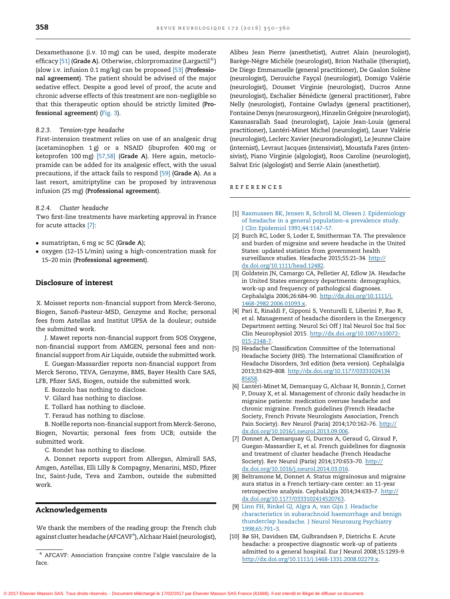<span id="page-8-0"></span>Dexamethasone (i.v. 10 mg) can be used, despite moderate efficacy [\[51\]](#page-10-0) (Grade A). Otherwise, chlorpromazine (Largactil<sup>®</sup>) (slow i.v. infusion 0.1 mg/kg) can be proposed [\[53\]](#page-10-0) (Professional agreement). The patient should be advised of the major sedative effect. Despite a good level of proof, the acute and chronic adverse effects of this treatment are non-negligible so that this therapeutic option should be strictly limited (Professional agreement) ([Fig.](#page-7-0) 3).

#### 8.2.3. Tension-type headache

First-intension treatment relies on use of an analgesic drug (acetaminophen 1 g) or a NSAID (ibuprofen 400 mg or ketoprofen 100 mg) [\[57,58\]](#page-10-0) (Grade A). Here again, metoclopramide can be added for its analgesic effect, with the usual precautions, if the attack fails to respond [\[59\]](#page-10-0) (Grade A). As a last resort, amitriptyline can be proposed by intravenous infusion (25 mg) (Professional agreement).

#### 8.2.4. Cluster headache

Two first-line treatments have marketing approval in France for acute attacks [7]:

- sumatriptan, 6 mg sc SC (Grade A);
- oxygen (12–15 L/min) using a high-concentration mask for 15–20 min (Professional agreement).

#### Disclosure of interest

X. Moisset reports non-financial support from Merck-Serono, Biogen, Sanofi-Pasteur-MSD, Genzyme and Roche; personal fees from Astellas and Institut UPSA de la douleur; outside the submitted work.

J. Mawet reports non-financial support from SOS Oxygene, non-financial support from AMGEN, personal fees and nonfinancial support from Air Liquide, outside the submitted work.

E. Guegan-Massardier reports non-financial support from Merck Serono, TEVA, Genzyme, BMS, Bayer Health Care SAS, LFB, Pfizer SAS, Biogen, outside the submitted work.

- E. Bozzolo has nothing to disclose.
- V. Gilard has nothing to disclose.
- E. Tollard has nothing to disclose.
- T. Feraud has nothing to disclose.

B. Noëlle reports non-financial support from Merck-Serono, Biogen, Novartis; personal fees from UCB; outside the submitted work.

C. Rondet has nothing to disclose.

A. Donnet reports support from Allergan, Almirall SAS, Amgen, Astellas, Elli Lilly & Compagny, Menarini, MSD, Pfizer Inc, Saint-Jude, Teva and Zambon, outside the submitted work.

#### Acknowledgements

We thank the members of the reading group: the French club against cluster headache (AFCAVF<sup>4</sup>), Alchaar Haiel (neurologist),

Alibeu Jean Pierre (anesthetist), Autret Alain (neurologist), Barège-Négre Michèle (neurologist), Brion Nathalie (therapist), De Diego Emmanuelle (general practitioner), De Gaalon Solène (neurologist), Derouiche Fayçal (neurologist), Domigo Valérie (neurologist), Dousset Virginie (neurologist), Ducros Anne (neurologist), Eschalier Bénédicte (general practitioner), Fabre Nelly (neurologist), Fontaine Gwladys (general practitioner), Fontaine Denys (neurosurgeon), Hinzelin Grégoire (neurologist), Kassnasrallah Saad (neurologist), Lajoie Jean-Louis (general practitioner), Lantéri-Minet Michel (neurologist), Lauer Valérie (neurologist), Leclerc Xavier (neuroradiologist), Le Jeunne Claire (internist), Levraut Jacques (intensivist), Moustafa Fares (intensivist), Piano Virginie (algologist), Roos Caroline (neurologist), Salvat Eric (algologist) and Serrie Alain (anesthetist).

r e f e r e n c e s

- [1] Rasmussen BK, Jensen R, Schroll M, Olesen J. [Epidemiology](http://refhub.elsevier.com/S0035-3787(16)30043-1/sbref0300) of headache in a general [population–a](http://refhub.elsevier.com/S0035-3787(16)30043-1/sbref0300) prevalence study. J Clin Epidemiol [1991;44:1147–57.](http://refhub.elsevier.com/S0035-3787(16)30043-1/sbref0300)
- [2] Burch RC, Loder S, Loder E, Smitherman TA. The prevalence and burden of migraine and severe headache in the United States: updated statistics from government health surveillance studies. Headache 2015;55:21–3[4.](http://dx.doi.org/10.1111/head.12482) [http://](http://dx.doi.org/10.1111/head.12482) [dx.doi.org/10.1111/head.12482](http://dx.doi.org/10.1111/head.12482).
- [3] Goldstein JN, Camargo CA, Pelletier AJ, Edlow JA. Headache in United States emergency departments: demographics, work-up and frequency of pathological diagnoses. Cephalalgia 2006;26:684–90[.](http://dx.doi.org/10.1111/j. 1468-2982.2006.01093.x) [http://dx.doi.org/10.1111/j.](http://dx.doi.org/10.1111/j. 1468-2982.2006.01093.x) [1468-2982.2006.01093.x](http://dx.doi.org/10.1111/j. 1468-2982.2006.01093.x).
- [4] Pari E, Rinaldi F, Gipponi S, Venturelli E, Liberini P, Rao R, et al. Management of headache disorders in the Emergency Department setting. Neurol Sci Off J Ital Neurol Soc Ital Soc Clin Neurophysiol 2015[.](http://dx.doi.org/10.1007/s10072-015-2148-7) [http://dx.doi.org/10.1007/s10072-](http://dx.doi.org/10.1007/s10072-015-2148-7) [015-2148-7](http://dx.doi.org/10.1007/s10072-015-2148-7).
- [5] Headache Classification Committee of the International Headache Society (IHS). The International Classification of Headache Disorders, 3rd edition (beta version). Cephalalgia 2013;33:629–808[.](http://dx.doi.org/10.1177/03331024134              85658) [http://dx.doi.org/10.1177/03331024134](http://dx.doi.org/10.1177/03331024134              85658) [85658](http://dx.doi.org/10.1177/03331024134              85658).
- [6] Lantéri-Minet M, Demarquay G, Alchaar H, Bonnin J, Cornet P, Douay X, et al. Management of chronic daily headache in migraine patients: medication overuse headache and chronic migraine. French guidelines (French Headache Society, French Private Neurologists Association, French Pain Society). Rev Neurol (Paris) 2014;170:162-7[6.](http://dx.doi.org/10.1016/j.neurol.2013.09.006) [http://](http://dx.doi.org/10.1016/j.neurol.2013.09.006) [dx.doi.org/10.1016/j.neurol.2013.09.006](http://dx.doi.org/10.1016/j.neurol.2013.09.006).
- [7] Donnet A, Demarquay G, Ducros A, Geraud G, Giraud P, Guegan-Massardier E, et al. French guidelines for diagnosis and treatment of cluster headache (French Headache Society). Rev Neurol (Paris) 2014;170:653–7[0.](http://dx.doi.org/10.1016/j.neurol.2014.03.016) [http://](http://dx.doi.org/10.1016/j.neurol.2014.03.016) [dx.doi.org/10.1016/j.neurol.2014.03.016](http://dx.doi.org/10.1016/j.neurol.2014.03.016).
- [8] Beltramone M, Donnet A. Status migrainosus and migraine aura status in a French tertiary-care center: an 11-year retrospective analysis. Cephalalgia 2014;34:633–7[.](http://dx.doi.org/10.1177/0333102414520763) [http://](http://dx.doi.org/10.1177/0333102414520763) [dx.doi.org/10.1177/0333102414520763](http://dx.doi.org/10.1177/0333102414520763).
- [9] Linn FH, Rinkel GJ, Algra A, van Gijn J. [Headache](http://refhub.elsevier.com/S0035-3787(16)30043-1/sbref0340) [characteristics](http://refhub.elsevier.com/S0035-3787(16)30043-1/sbref0340) in subarachnoid haemorrhage and benign [thunderclap](http://refhub.elsevier.com/S0035-3787(16)30043-1/sbref0340) headache. J Neurol Neurosurg Psychiatry [1998;65:791–3](http://refhub.elsevier.com/S0035-3787(16)30043-1/sbref0340).
- [10] Bø SH, Davidsen EM, Gulbrandsen P, Dietrichs E. Acute headache: a prospective diagnostic work-up of patients admitted to a general hospital. Eur J Neurol 2008;15:1293–9[.](http://dx.doi.org/10.1111/j.1468-1331.2008.02279.x) <http://dx.doi.org/10.1111/j.1468-1331.2008.02279.x>.

<sup>&</sup>lt;sup>4</sup> AFCAVF: Association française contre l'algie vasculaire de la face.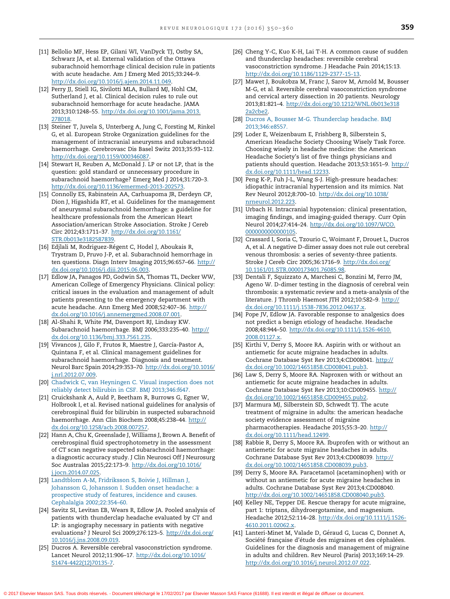- <span id="page-9-0"></span>[11] Bellolio MF, Hess EP, Gilani WI, VanDyck TJ, Ostby SA, Schwarz JA, et al. External validation of the Ottawa subarachnoid hemorrhage clinical decision rule in patients with acute headache. Am J Emerg Med 2015;33:244–[9.](http://dx.doi.org/10.1016/j.ajem.2014.11.049) <http://dx.doi.org/10.1016/j.ajem.2014.11.049>.
- [12] Perry JJ, Stiell IG, Sivilotti MLA, Bullard MJ, Hohl CM, Sutherland J, et al. Clinical decision rules to rule out subarachnoid hemorrhage for acute headache. JAMA 2013;310:1248–55[.](http://dx.doi.org/10.1001/jama.2013.                       278018) [http://dx.doi.org/10.1001/jama.2013.](http://dx.doi.org/10.1001/jama.2013.                       278018) [278018.](http://dx.doi.org/10.1001/jama.2013.                       278018)
- [13] Steiner T, Juvela S, Unterberg A, Jung C, Forsting M, Rinkel G, et al. European Stroke Organization guidelines for the management of intracranial aneurysms and subarachnoid haemorrhage. Cerebrovasc Dis Basel Switz 2013;35:93–11[2.](http://dx.doi.org/10.1159/000346087) <http://dx.doi.org/10.1159/000346087>.
- [14] Stewart H, Reuben A, McDonald J. LP or not LP, that is the question: gold standard or unnecessary procedure in subarachnoid haemorrhage? Emerg Med J 2014;31:720–[3.](http://dx.doi.org/10.1136/emermed-2013-202573) [http://dx.doi.org/10.1136/emermed-2013-202573.](http://dx.doi.org/10.1136/emermed-2013-202573)
- [15] Connolly ES, Rabinstein AA, Carhuapoma JR, Derdeyn CP, Dion J, Higashida RT, et al. Guidelines for the management of aneurysmal subarachnoid hemorrhage: a guideline for healthcare professionals from the American Heart Association/american Stroke Association. Stroke J Cereb Circ 2012;43:1711–37[.](http://dx.doi.org/10.1161/STR.0b013e3182587839) [http://dx.doi.org/10.1161/](http://dx.doi.org/10.1161/STR.0b013e3182587839) [STR.0b013e3182587839.](http://dx.doi.org/10.1161/STR.0b013e3182587839)
- [16] Edjlali M, Rodriguez-Régent C, Hodel J, Aboukais R, Trystram D, Pruvo J-P, et al. Subarachnoid hemorrhage in ten questions[.](http://dx.doi.org/10.1016/j.diii.2015.06.003) Diagn Interv Imaging 2015;96:657-66. [http://](http://dx.doi.org/10.1016/j.diii.2015.06.003) [dx.doi.org/10.1016/j.diii.2015.06.003.](http://dx.doi.org/10.1016/j.diii.2015.06.003)
- [17] Edlow JA, Panagos PD, Godwin SA, Thomas TL, Decker WW, American College of Emergency Physicians. Clinical policy: critical issues in the evaluation and management of adult patients presenting to the emergency department with acute headache. Ann Emerg Med 2008;52:407–36[.](http://dx.doi.org/10.1016/j.annemergmed.2008.07.001) [http://](http://dx.doi.org/10.1016/j.annemergmed.2008.07.001) [dx.doi.org/10.1016/j.annemergmed.2008.07.001.](http://dx.doi.org/10.1016/j.annemergmed.2008.07.001)
- [18] Al-Shahi R, White PM, Davenport RJ, Lindsay KW. Subarachnoid haemorrhage. BMJ 2006;333:235–4[0.](http://dx.doi.org/10.1136/bmj.333.7561.235) [http://](http://dx.doi.org/10.1136/bmj.333.7561.235) [dx.doi.org/10.1136/bmj.333.7561.235.](http://dx.doi.org/10.1136/bmj.333.7561.235)
- [19] Vivancos J, Gilo F, Frutos R, Maestre J, García-Pastor A, Quintana F, et al. Clinical management guidelines for subarachnoid haemorrhage. Diagnosis and treatment. Neurol Barc Spain 2014;29:353–70[.](http://dx.doi.org/10.1016/j.nrl.2012.07.009) [http://dx.doi.org/10.1016/](http://dx.doi.org/10.1016/j.nrl.2012.07.009) [j.nrl.2012.07.009.](http://dx.doi.org/10.1016/j.nrl.2012.07.009)
- [20] Chadwick C, van [Heyningen](http://refhub.elsevier.com/S0035-3787(16)30043-1/sbref0395) C. Visual inspection does not reliably detect bilirubin in CSF. BMJ [2013;346:f647.](http://refhub.elsevier.com/S0035-3787(16)30043-1/sbref0395)
- [21] Cruickshank A, Auld P, Beetham R, Burrows G, Egner W, Holbrook I, et al. Revised national guidelines for analysis of cerebrospinal fluid for bilirubin in suspected subarachnoid haemorrhage. Ann Clin Biochem 2008;45:238-4[4.](http://dx.doi.org/10.1258/acb.2008.007257) [http://](http://dx.doi.org/10.1258/acb.2008.007257) [dx.doi.org/10.1258/acb.2008.007257](http://dx.doi.org/10.1258/acb.2008.007257).
- [22] Hann A, Chu K, Greenslade J, Williams J, Brown A. Benefit of cerebrospinal fluid spectrophotometry in the assessment of CT scan negative suspected subarachnoid haemorrhage: a diagnostic accuracy study. J Clin Neurosci Off J Neurosurg Soc Australas 2015;22:173–9[.](http://dx.doi.org/10.1016/j.jocn.2014.07.025) [http://dx.doi.org/10.1016/](http://dx.doi.org/10.1016/j.jocn.2014.07.025) [j.jocn.2014.07.025.](http://dx.doi.org/10.1016/j.jocn.2014.07.025)
- [23] Landtblom A-M, [Fridriksson](http://refhub.elsevier.com/S0035-3787(16)30043-1/sbref0410) S, Boivie J, Hillman J, Johansson G, [Johansson](http://refhub.elsevier.com/S0035-3787(16)30043-1/sbref0410) I. Sudden onset headache: a [prospective](http://refhub.elsevier.com/S0035-3787(16)30043-1/sbref0410) study of features, incidence and causes. Cephalalgia [2002;22:354–60.](http://refhub.elsevier.com/S0035-3787(16)30043-1/sbref0410)
- [24] Savitz SI, Levitan EB, Wears R, Edlow JA. Pooled analysis of patients with thunderclap headache evaluated by CT and LP: is angiography necessary in patients with negative evaluations? J Neurol Sci 2009;276:123–5[.](http://dx.doi.org/10.1016/j.jns.2008.09.019) [http://dx.doi.org/](http://dx.doi.org/10.1016/j.jns.2008.09.019) [10.1016/j.jns.2008.09.019.](http://dx.doi.org/10.1016/j.jns.2008.09.019)
- [25] Ducros A. Reversible cerebral vasoconstriction syndrome. Lancet Neurol 2012;11:906–17[.](http://dx.doi.org/10.1016/S1474-4422(12)70135-7) [http://dx.doi.org/10.1016/](http://dx.doi.org/10.1016/S1474-4422(12)70135-7) [S1474-4422\(12\)70135-7](http://dx.doi.org/10.1016/S1474-4422(12)70135-7).
- [26] Cheng Y-C, Kuo K-H, Lai T-H. A common cause of sudden and thunderclap headaches: reversible cerebral vasoconstriction syndrome. J Headache Pain 2014;15:1[3.](http://dx.doi.org/10.1186/1129-2377-15-13) [http://dx.doi.org/10.1186/1129-2377-15-13.](http://dx.doi.org/10.1186/1129-2377-15-13)
- [27] Mawet J, Boukobza M, Franc J, Sarov M, Arnold M, Bousser M-G, et al. Reversible cerebral vasoconstriction syndrome and cervical artery dissection in 20 patients. Neurology 2013;81:821–[4.](http://dx.doi.org/10.1212/WNL.0b013e318               2a2cbe2) [http://dx.doi.org/10.1212/WNL.0b013e318](http://dx.doi.org/10.1212/WNL.0b013e318               2a2cbe2) [2a2cbe2](http://dx.doi.org/10.1212/WNL.0b013e318               2a2cbe2).
- [28] Ducros A, Bousser M-G. [Thunderclap](http://refhub.elsevier.com/S0035-3787(16)30043-1/sbref0435) headache. BMJ [2013;346:e8557.](http://refhub.elsevier.com/S0035-3787(16)30043-1/sbref0435)
- [29] Loder E, Weizenbaum E, Frishberg B, Silberstein S, American Headache Society Choosing Wisely Task Force. Choosing wisely in headache medicine: the American Headache Society's list of five things physicians and patients should question. Headache 2013;53:1651–9[.](http://dx.doi.org/10.1111/head.12233) [http://](http://dx.doi.org/10.1111/head.12233) [dx.doi.org/10.1111/head.12233](http://dx.doi.org/10.1111/head.12233).
- [30] Peng K-P, Fuh J-L, Wang S-J. High-pressure headaches: idiopathic intracranial hypertension and its mimics. Nat Rev Neurol 2012;8:700–1[0.](http://dx.doi.org/10.1038/nrneurol.2012.223) [http://dx.doi.org/10.1038/](http://dx.doi.org/10.1038/nrneurol.2012.223) [nrneurol.2012.223](http://dx.doi.org/10.1038/nrneurol.2012.223).
- [31] Urbach H. Intracranial hypotension: clinical presentation, imaging findings, and imaging-guided therapy. Curr Opin Neurol 2014;27:414–24[.](http://dx.doi.org/10.1097/WCO.                    0000000000000105) [http://dx.doi.org/10.1097/WCO.](http://dx.doi.org/10.1097/WCO.                    0000000000000105) [0000000000000105](http://dx.doi.org/10.1097/WCO.                    0000000000000105).
- [32] Crassard I, Soria C, Tzourio C, Woimant F, Drouet L, Ducros A, et al. A negative D-dimer assay does not rule out cerebral venous thrombosis: a series of seventy-three patients. Stroke J Cereb Circ 2005;36:1716–9[.](http://dx.doi.org/10.1161/01.STR.0000173401.76085.98) [http://dx.doi.org/](http://dx.doi.org/10.1161/01.STR.0000173401.76085.98) [10.1161/01.STR.0000173401.76085.98.](http://dx.doi.org/10.1161/01.STR.0000173401.76085.98)
- [33] Dentali F, Squizzato A, Marchesi C, Bonzini M, Ferro JM, Ageno W. D-dimer testing in the diagnosis of cerebral vein thrombosis: a systematic review and a meta-analysis of the literature. J Thromb Haemost JTH 2012;10:582–9[.](http://dx.doi.org/10.1111/j.1538-7836.2012.04637.x) [http://](http://dx.doi.org/10.1111/j.1538-7836.2012.04637.x) [dx.doi.org/10.1111/j.1538-7836.2012.04637.x.](http://dx.doi.org/10.1111/j.1538-7836.2012.04637.x)
- [34] Pope JV, Edlow JA. Favorable response to analgesics does not predict a benign etiology of headache. Headache 2008;48:944–50[.](http://dx.doi.org/10.1111/j.1526-4610.            2008.01127.x) [http://dx.doi.org/10.1111/j.1526-4610.](http://dx.doi.org/10.1111/j.1526-4610.            2008.01127.x) [2008.01127.x.](http://dx.doi.org/10.1111/j.1526-4610.            2008.01127.x)
- [35] Kirthi V, Derry S, Moore RA. Aspirin with or without an antiemetic for acute migraine headaches in adults. Cochrane Database Syst Rev 2013;4:CD008041[.](http://dx.doi.org/10.1002/14651858.CD008041.pub3) [http://](http://dx.doi.org/10.1002/14651858.CD008041.pub3) [dx.doi.org/10.1002/14651858.CD008041.pub3](http://dx.doi.org/10.1002/14651858.CD008041.pub3).
- [36] Law S, Derry S, Moore RA. Naproxen with or without an antiemetic for acute migraine headaches in adults. Cochrane Database Syst Rev 2013;10:CD00945[5.](http://dx.doi.org/10.1002/14651858.CD009455.pub2) [http://](http://dx.doi.org/10.1002/14651858.CD009455.pub2) [dx.doi.org/10.1002/14651858.CD009455.pub2](http://dx.doi.org/10.1002/14651858.CD009455.pub2).
- [37] Marmura MJ, Silberstein SD, Schwedt TJ. The acute treatment of migraine in adults: the american headache society evidence assessment of migraine pharmacotherapies. Headache 2015;55:3–2[0.](http://dx.doi.org/10.1111/head.12499) [http://](http://dx.doi.org/10.1111/head.12499) [dx.doi.org/10.1111/head.12499](http://dx.doi.org/10.1111/head.12499).
- [38] Rabbie R, Derry S, Moore RA. Ibuprofen with or without an antiemetic for acute migraine headaches in adults. Cochrane Database Syst Rev 2013;4:CD008039[.](http://dx.doi.org/10.1002/14651858.CD008039.pub3) [http://](http://dx.doi.org/10.1002/14651858.CD008039.pub3) [dx.doi.org/10.1002/14651858.CD008039.pub3](http://dx.doi.org/10.1002/14651858.CD008039.pub3).
- [39] Derry S, Moore RA. Paracetamol (acetaminophen) with or without an antiemetic for acute migraine headaches in adults. Cochrane Database Syst Rev 2013;4:CD00804[0.](http://dx.doi.org/10.1002/14651858.CD008040.pub3) <http://dx.doi.org/10.1002/14651858.CD008040.pub3>.
- [40] Kelley NE, Tepper DE. Rescue therapy for acute migraine, part 1: triptans, dihydroergotamine, and magnesium. Headache 2012;52:114–2[8.](http://dx.doi.org/10.1111/j.1526-4610.2011.02062.x) [http://dx.doi.org/10.1111/j.1526-](http://dx.doi.org/10.1111/j.1526-4610.2011.02062.x) [4610.2011.02062.x.](http://dx.doi.org/10.1111/j.1526-4610.2011.02062.x)
- [41] Lanteri-Minet M, Valade D, Géraud G, Lucas C, Donnet A, Société française d'étude des migraines et des céphalées. Guidelines for the diagnosis and management of migraine in adults and children. Rev Neurol (Paris) 2013;169:14–2[9.](http://dx.doi.org/10.1016/j.neurol.2012.07.022) <http://dx.doi.org/10.1016/j.neurol.2012.07.022>.